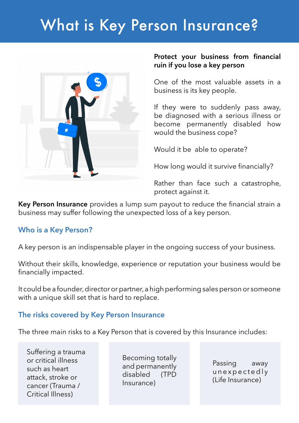# What is Key Person Insurance?



#### **Protect your business from financial ruin if you lose a key person**

One of the most valuable assets in a business is its key people.

If they were to suddenly pass away, be diagnosed with a serious illness or become permanently disabled how would the business cope?

Would it be able to operate?

How long would it survive financially?

Rather than face such a catastrophe, protect against it.

**Key Person Insurance** provides a lump sum payout to reduce the financial strain a business may suffer following the unexpected loss of a key person.

# **Who is a Key Person?**

A key person is an indispensable player in the ongoing success of your business.

Without their skills, knowledge, experience or reputation your business would be financially impacted.

It could be a founder, director or partner, a high performing sales person or someone with a unique skill set that is hard to replace.

# **The risks covered by Key Person Insurance**

The three main risks to a Key Person that is covered by this Insurance includes:

Suffering a trauma or critical illness such as heart attack, stroke or cancer (Trauma / Critical Illness)

Becoming totally and permanently disabled (TPD Insurance)

Passing away unexpectedly (Life Insurance)